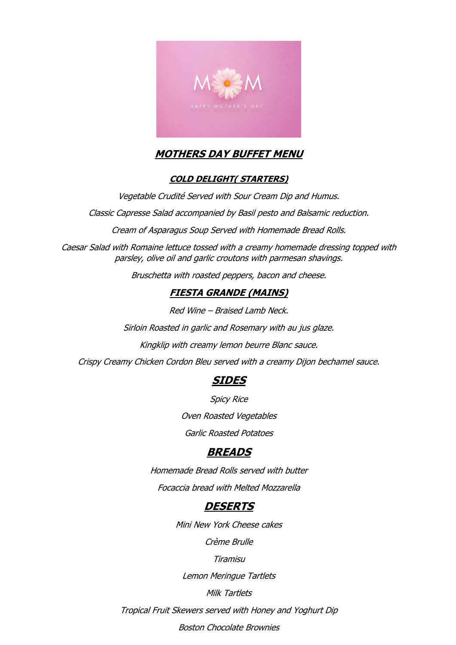

## **MOTHERS DAY BUFFET MENU**

### **COLD DELIGHT( STARTERS)**

Vegetable Crudité Served with Sour Cream Dip and Humus.

Classic Capresse Salad accompanied by Basil pesto and Balsamic reduction.

Cream of Asparagus Soup Served with Homemade Bread Rolls.

Caesar Salad with Romaine lettuce tossed with a creamy homemade dressing topped with parsley, olive oil and garlic croutons with parmesan shavings.

Bruschetta with roasted peppers, bacon and cheese.

### **FIESTA GRANDE (MAINS)**

Red Wine – Braised Lamb Neck.

Sirloin Roasted in garlic and Rosemary with au jus glaze.

Kingklip with creamy lemon beurre Blanc sauce.

Crispy Creamy Chicken Cordon Bleu served with a creamy Dijon bechamel sauce.

## **SIDES**

Spicy Rice

Oven Roasted Vegetables

Garlic Roasted Potatoes

## **BREADS**

Homemade Bread Rolls served with butter Focaccia bread with Melted Mozzarella

## **DESERTS**

Mini New York Cheese cakes

Crème Brulle

Tiramisu

Lemon Meringue Tartlets

Milk Tartlets

Tropical Fruit Skewers served with Honey and Yoghurt Dip

Boston Chocolate Brownies